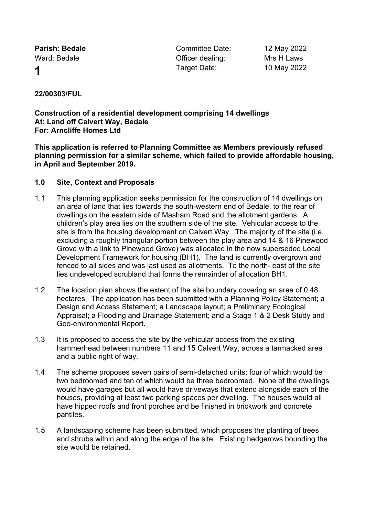**Parish: Bedale Committee Date:** 12 May 2022 Ward: Bedale **Contract Contract Contract Contract Contract Contract Contract Contract Contract Contract Contract Contract Contract Contract Contract Contract Contract Contract Contract Contract Contract Contract Contract C 1** Target Date: 10 May 2022

## **22/00303/FUL**

**Construction of a residential development comprising 14 dwellings At: Land off Calvert Way, Bedale For: Arncliffe Homes Ltd**

**This application is referred to Planning Committee as Members previously refused planning permission for a similar scheme, which failed to provide affordable housing, in April and September 2019.**

### **1.0 Site, Context and Proposals**

- 1.1 This planning application seeks permission for the construction of 14 dwellings on an area of land that lies towards the south-western end of Bedale, to the rear of dwellings on the eastern side of Masham Road and the allotment gardens. A children's play area lies on the southern side of the site. Vehicular access to the site is from the housing development on Calvert Way. The majority of the site (i.e. excluding a roughly triangular portion between the play area and 14 & 16 Pinewood Grove with a link to Pinewood Grove) was allocated in the now superseded Local Development Framework for housing (BH1). The land is currently overgrown and fenced to all sides and was last used as allotments. To the north- east of the site lies undeveloped scrubland that forms the remainder of allocation BH1.
- 1.2 The location plan shows the extent of the site boundary covering an area of 0.48 hectares. The application has been submitted with a Planning Policy Statement; a Design and Access Statement; a Landscape layout; a Preliminary Ecological Appraisal; a Flooding and Drainage Statement; and a Stage 1 & 2 Desk Study and Geo-environmental Report.
- 1.3 It is proposed to access the site by the vehicular access from the existing hammerhead between numbers 11 and 15 Calvert Way, across a tarmacked area and a public right of way.
- 1.4 The scheme proposes seven pairs of semi-detached units; four of which would be two bedroomed and ten of which would be three bedroomed. None of the dwellings would have garages but all would have driveways that extend alongside each of the houses, providing at least two parking spaces per dwelling. The houses would all have hipped roofs and front porches and be finished in brickwork and concrete pantiles.
- 1.5 A landscaping scheme has been submitted, which proposes the planting of trees and shrubs within and along the edge of the site. Existing hedgerows bounding the site would be retained.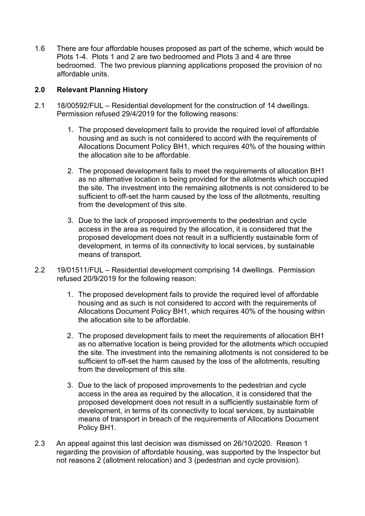1.6 There are four affordable houses proposed as part of the scheme, which would be Plots 1-4. Plots 1 and 2 are two bedroomed and Plots 3 and 4 are three bedroomed. The two previous planning applications proposed the provision of no affordable units.

# **2.0 Relevant Planning History**

- 2.1 18/00592/FUL Residential development for the construction of 14 dwellings. Permission refused 29/4/2019 for the following reasons:
	- 1. The proposed development fails to provide the required level of affordable housing and as such is not considered to accord with the requirements of Allocations Document Policy BH1, which requires 40% of the housing within the allocation site to be affordable.
	- 2. The proposed development fails to meet the requirements of allocation BH1 as no alternative location is being provided for the allotments which occupied the site. The investment into the remaining allotments is not considered to be sufficient to off-set the harm caused by the loss of the allotments, resulting from the development of this site.
	- 3. Due to the lack of proposed improvements to the pedestrian and cycle access in the area as required by the allocation, it is considered that the proposed development does not result in a sufficiently sustainable form of development, in terms of its connectivity to local services, by sustainable means of transport.
- 2.2 19/01511/FUL Residential development comprising 14 dwellings. Permission refused 20/9/2019 for the following reason:
	- 1. The proposed development fails to provide the required level of affordable housing and as such is not considered to accord with the requirements of Allocations Document Policy BH1, which requires 40% of the housing within the allocation site to be affordable.
	- 2. The proposed development fails to meet the requirements of allocation BH1 as no alternative location is being provided for the allotments which occupied the site. The investment into the remaining allotments is not considered to be sufficient to off-set the harm caused by the loss of the allotments, resulting from the development of this site.
	- 3. Due to the lack of proposed improvements to the pedestrian and cycle access in the area as required by the allocation, it is considered that the proposed development does not result in a sufficiently sustainable form of development, in terms of its connectivity to local services, by sustainable means of transport in breach of the requirements of Allocations Document Policy BH1.
- 2.3 An appeal against this last decision was dismissed on 26/10/2020. Reason 1 regarding the provision of affordable housing, was supported by the Inspector but not reasons 2 (allotment relocation) and 3 (pedestrian and cycle provision).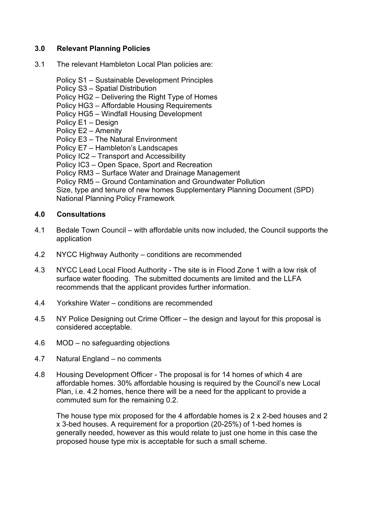### **3.0 Relevant Planning Policies**

3.1 The relevant Hambleton Local Plan policies are:

Policy S1 – Sustainable Development Principles Policy S3 – Spatial Distribution Policy HG2 – Delivering the Right Type of Homes Policy HG3 – Affordable Housing Requirements Policy HG5 – Windfall Housing Development Policy E1 – Design Policy E2 – Amenity Policy E3 – The Natural Environment Policy E7 – Hambleton's Landscapes Policy IC2 – Transport and Accessibility Policy IC3 – Open Space, Sport and Recreation Policy RM3 – Surface Water and Drainage Management Policy RM5 – Ground Contamination and Groundwater Pollution Size, type and tenure of new homes Supplementary Planning Document (SPD) National Planning Policy Framework

### **4.0 Consultations**

- 4.1 Bedale Town Council with affordable units now included, the Council supports the application
- 4.2 NYCC Highway Authority conditions are recommended
- 4.3 NYCC Lead Local Flood Authority The site is in Flood Zone 1 with a low risk of surface water flooding. The submitted documents are limited and the LLFA recommends that the applicant provides further information.
- 4.4 Yorkshire Water conditions are recommended
- 4.5 NY Police Designing out Crime Officer the design and layout for this proposal is considered acceptable.
- 4.6 MOD no safeguarding objections
- 4.7 Natural England no comments
- 4.8 Housing Development Officer The proposal is for 14 homes of which 4 are affordable homes. 30% affordable housing is required by the Council's new Local Plan, i.e. 4.2 homes, hence there will be a need for the applicant to provide a commuted sum for the remaining 0.2.

The house type mix proposed for the 4 affordable homes is 2 x 2-bed houses and 2 x 3-bed houses. A requirement for a proportion (20-25%) of 1-bed homes is generally needed, however as this would relate to just one home in this case the proposed house type mix is acceptable for such a small scheme.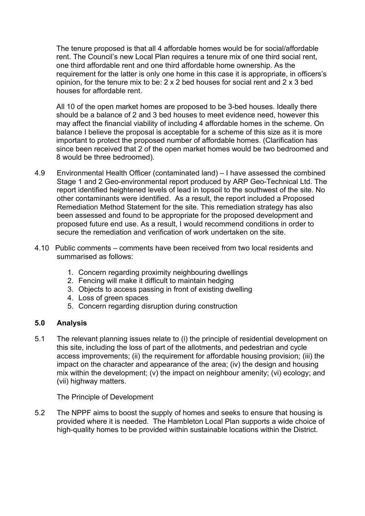The tenure proposed is that all 4 affordable homes would be for social/affordable rent. The Council's new Local Plan requires a tenure mix of one third social rent, one third affordable rent and one third affordable home ownership. As the requirement for the latter is only one home in this case it is appropriate, in officers's opinion, for the tenure mix to be: 2 x 2 bed houses for social rent and 2 x 3 bed houses for affordable rent.

All 10 of the open market homes are proposed to be 3-bed houses. Ideally there should be a balance of 2 and 3 bed houses to meet evidence need, however this may affect the financial viability of including 4 affordable homes in the scheme. On balance I believe the proposal is acceptable for a scheme of this size as it is more important to protect the proposed number of affordable homes. (Clarification has since been received that 2 of the open market homes would be two bedroomed and 8 would be three bedroomed).

- 4.9 Environmental Health Officer (contaminated land) I have assessed the combined Stage 1 and 2 Geo-environmental report produced by ARP Geo-Technical Ltd. The report identified heightened levels of lead in topsoil to the southwest of the site. No other contaminants were identified. As a result, the report included a Proposed Remediation Method Statement for the site. This remediation strategy has also been assessed and found to be appropriate for the proposed development and proposed future end use. As a result, I would recommend conditions in order to secure the remediation and verification of work undertaken on the site.
- 4.10 Public comments comments have been received from two local residents and summarised as follows:
	- 1. Concern regarding proximity neighbouring dwellings
	- 2. Fencing will make it difficult to maintain hedging
	- 3. Objects to access passing in front of existing dwelling
	- 4. Loss of green spaces
	- 5. Concern regarding disruption during construction

### **5.0 Analysis**

5.1 The relevant planning issues relate to (i) the principle of residential development on this site, including the loss of part of the allotments, and pedestrian and cycle access improvements; (ii) the requirement for affordable housing provision; (iii) the impact on the character and appearance of the area; (iv) the design and housing mix within the development; (v) the impact on neighbour amenity; (vi) ecology; and (vii) highway matters.

The Principle of Development

5.2 The NPPF aims to boost the supply of homes and seeks to ensure that housing is provided where it is needed. The Hambleton Local Plan supports a wide choice of high-quality homes to be provided within sustainable locations within the District.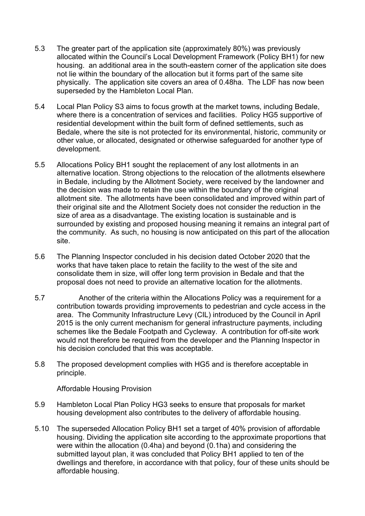- 5.3 The greater part of the application site (approximately 80%) was previously allocated within the Council's Local Development Framework (Policy BH1) for new housing. an additional area in the south-eastern corner of the application site does not lie within the boundary of the allocation but it forms part of the same site physically. The application site covers an area of 0.48ha. The LDF has now been superseded by the Hambleton Local Plan.
- 5.4 Local Plan Policy S3 aims to focus growth at the market towns, including Bedale, where there is a concentration of services and facilities. Policy HG5 supportive of residential development within the built form of defined settlements, such as Bedale, where the site is not protected for its environmental, historic, community or other value, or allocated, designated or otherwise safeguarded for another type of development.
- 5.5 Allocations Policy BH1 sought the replacement of any lost allotments in an alternative location. Strong objections to the relocation of the allotments elsewhere in Bedale, including by the Allotment Society, were received by the landowner and the decision was made to retain the use within the boundary of the original allotment site. The allotments have been consolidated and improved within part of their original site and the Allotment Society does not consider the reduction in the size of area as a disadvantage. The existing location is sustainable and is surrounded by existing and proposed housing meaning it remains an integral part of the community. As such, no housing is now anticipated on this part of the allocation site.
- 5.6 The Planning Inspector concluded in his decision dated October 2020 that the works that have taken place to retain the facility to the west of the site and consolidate them in size, will offer long term provision in Bedale and that the proposal does not need to provide an alternative location for the allotments.
- 5.7 Another of the criteria within the Allocations Policy was a requirement for a contribution towards providing improvements to pedestrian and cycle access in the area. The Community Infrastructure Levy (CIL) introduced by the Council in April 2015 is the only current mechanism for general infrastructure payments, including schemes like the Bedale Footpath and Cycleway. A contribution for off-site work would not therefore be required from the developer and the Planning Inspector in his decision concluded that this was acceptable.
- 5.8 The proposed development complies with HG5 and is therefore acceptable in principle.

Affordable Housing Provision

- 5.9 Hambleton Local Plan Policy HG3 seeks to ensure that proposals for market housing development also contributes to the delivery of affordable housing.
- 5.10 The superseded Allocation Policy BH1 set a target of 40% provision of affordable housing. Dividing the application site according to the approximate proportions that were within the allocation (0.4ha) and beyond (0.1ha) and considering the submitted layout plan, it was concluded that Policy BH1 applied to ten of the dwellings and therefore, in accordance with that policy, four of these units should be affordable housing.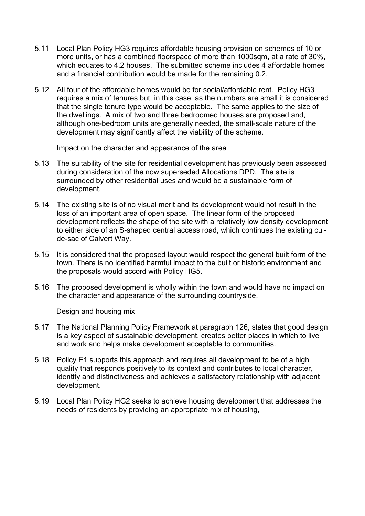- 5.11 Local Plan Policy HG3 requires affordable housing provision on schemes of 10 or more units, or has a combined floorspace of more than 1000sqm, at a rate of 30%, which equates to 4.2 houses. The submitted scheme includes 4 affordable homes and a financial contribution would be made for the remaining 0.2.
- 5.12 All four of the affordable homes would be for social/affordable rent. Policy HG3 requires a mix of tenures but, in this case, as the numbers are small it is considered that the single tenure type would be acceptable. The same applies to the size of the dwellings. A mix of two and three bedroomed houses are proposed and, although one-bedroom units are generally needed, the small-scale nature of the development may significantly affect the viability of the scheme.

Impact on the character and appearance of the area

- 5.13 The suitability of the site for residential development has previously been assessed during consideration of the now superseded Allocations DPD. The site is surrounded by other residential uses and would be a sustainable form of development.
- 5.14 The existing site is of no visual merit and its development would not result in the loss of an important area of open space. The linear form of the proposed development reflects the shape of the site with a relatively low density development to either side of an S-shaped central access road, which continues the existing culde-sac of Calvert Way.
- 5.15 It is considered that the proposed layout would respect the general built form of the town. There is no identified harmful impact to the built or historic environment and the proposals would accord with Policy HG5.
- 5.16 The proposed development is wholly within the town and would have no impact on the character and appearance of the surrounding countryside.

Design and housing mix

- 5.17 The National Planning Policy Framework at paragraph 126, states that good design is a key aspect of sustainable development, creates better places in which to live and work and helps make development acceptable to communities.
- 5.18 Policy E1 supports this approach and requires all development to be of a high quality that responds positively to its context and contributes to local character, identity and distinctiveness and achieves a satisfactory relationship with adjacent development.
- 5.19 Local Plan Policy HG2 seeks to achieve housing development that addresses the needs of residents by providing an appropriate mix of housing,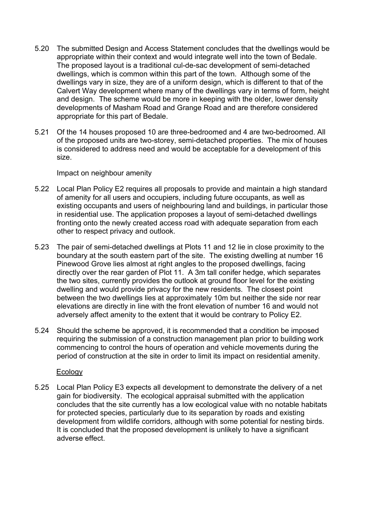- 5.20 The submitted Design and Access Statement concludes that the dwellings would be appropriate within their context and would integrate well into the town of Bedale. The proposed layout is a traditional cul-de-sac development of semi-detached dwellings, which is common within this part of the town. Although some of the dwellings vary in size, they are of a uniform design, which is different to that of the Calvert Way development where many of the dwellings vary in terms of form, height and design. The scheme would be more in keeping with the older, lower density developments of Masham Road and Grange Road and are therefore considered appropriate for this part of Bedale.
- 5.21 Of the 14 houses proposed 10 are three-bedroomed and 4 are two-bedroomed. All of the proposed units are two-storey, semi-detached properties. The mix of houses is considered to address need and would be acceptable for a development of this size.

Impact on neighbour amenity

- 5.22 Local Plan Policy E2 requires all proposals to provide and maintain a high standard of amenity for all users and occupiers, including future occupants, as well as existing occupants and users of neighbouring land and buildings, in particular those in residential use. The application proposes a layout of semi-detached dwellings fronting onto the newly created access road with adequate separation from each other to respect privacy and outlook.
- 5.23 The pair of semi-detached dwellings at Plots 11 and 12 lie in close proximity to the boundary at the south eastern part of the site. The existing dwelling at number 16 Pinewood Grove lies almost at right angles to the proposed dwellings, facing directly over the rear garden of Plot 11. A 3m tall conifer hedge, which separates the two sites, currently provides the outlook at ground floor level for the existing dwelling and would provide privacy for the new residents. The closest point between the two dwellings lies at approximately 10m but neither the side nor rear elevations are directly in line with the front elevation of number 16 and would not adversely affect amenity to the extent that it would be contrary to Policy E2.
- 5.24 Should the scheme be approved, it is recommended that a condition be imposed requiring the submission of a construction management plan prior to building work commencing to control the hours of operation and vehicle movements during the period of construction at the site in order to limit its impact on residential amenity.

### Ecology

5.25 Local Plan Policy E3 expects all development to demonstrate the delivery of a net gain for biodiversity. The ecological appraisal submitted with the application concludes that the site currently has a low ecological value with no notable habitats for protected species, particularly due to its separation by roads and existing development from wildlife corridors, although with some potential for nesting birds. It is concluded that the proposed development is unlikely to have a significant adverse effect.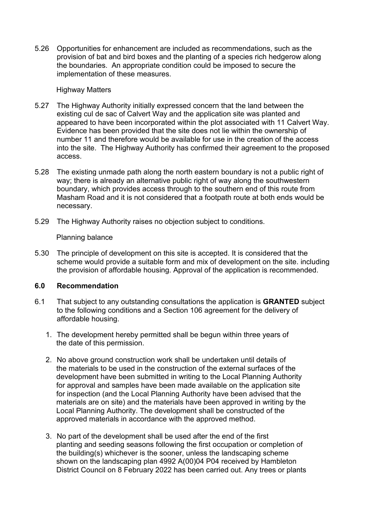5.26 Opportunities for enhancement are included as recommendations, such as the provision of bat and bird boxes and the planting of a species rich hedgerow along the boundaries. An appropriate condition could be imposed to secure the implementation of these measures.

#### Highway Matters

- 5.27 The Highway Authority initially expressed concern that the land between the existing cul de sac of Calvert Way and the application site was planted and appeared to have been incorporated within the plot associated with 11 Calvert Way. Evidence has been provided that the site does not lie within the ownership of number 11 and therefore would be available for use in the creation of the access into the site. The Highway Authority has confirmed their agreement to the proposed access.
- 5.28 The existing unmade path along the north eastern boundary is not a public right of way; there is already an alternative public right of way along the southwestern boundary, which provides access through to the southern end of this route from Masham Road and it is not considered that a footpath route at both ends would be necessary.
- 5.29 The Highway Authority raises no objection subject to conditions.

#### Planning balance

5.30 The principle of development on this site is accepted. It is considered that the scheme would provide a suitable form and mix of development on the site. including the provision of affordable housing. Approval of the application is recommended.

### **6.0 Recommendation**

- 6.1 That subject to any outstanding consultations the application is **GRANTED** subject to the following conditions and a Section 106 agreement for the delivery of affordable housing.
	- 1. The development hereby permitted shall be begun within three years of the date of this permission.
	- 2. No above ground construction work shall be undertaken until details of the materials to be used in the construction of the external surfaces of the development have been submitted in writing to the Local Planning Authority for approval and samples have been made available on the application site for inspection (and the Local Planning Authority have been advised that the materials are on site) and the materials have been approved in writing by the Local Planning Authority. The development shall be constructed of the approved materials in accordance with the approved method.
	- 3. No part of the development shall be used after the end of the first planting and seeding seasons following the first occupation or completion of the building(s) whichever is the sooner, unless the landscaping scheme shown on the landscaping plan 4992 A(00)04 P04 received by Hambleton District Council on 8 February 2022 has been carried out. Any trees or plants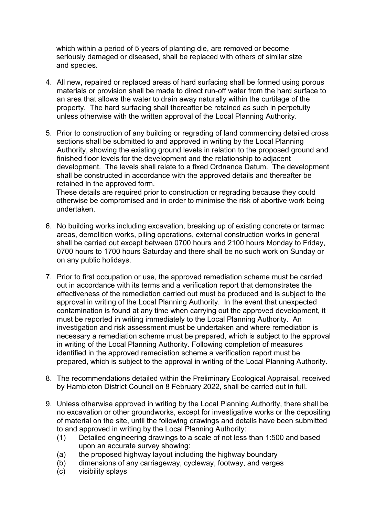which within a period of 5 years of planting die, are removed or become seriously damaged or diseased, shall be replaced with others of similar size and species.

- 4. All new, repaired or replaced areas of hard surfacing shall be formed using porous materials or provision shall be made to direct run-off water from the hard surface to an area that allows the water to drain away naturally within the curtilage of the property. The hard surfacing shall thereafter be retained as such in perpetuity unless otherwise with the written approval of the Local Planning Authority.
- 5. Prior to construction of any building or regrading of land commencing detailed cross sections shall be submitted to and approved in writing by the Local Planning Authority, showing the existing ground levels in relation to the proposed ground and finished floor levels for the development and the relationship to adjacent development. The levels shall relate to a fixed Ordnance Datum. The development shall be constructed in accordance with the approved details and thereafter be retained in the approved form.

These details are required prior to construction or regrading because they could otherwise be compromised and in order to minimise the risk of abortive work being undertaken.

- 6. No building works including excavation, breaking up of existing concrete or tarmac areas, demolition works, piling operations, external construction works in general shall be carried out except between 0700 hours and 2100 hours Monday to Friday, 0700 hours to 1700 hours Saturday and there shall be no such work on Sunday or on any public holidays.
- 7. Prior to first occupation or use, the approved remediation scheme must be carried out in accordance with its terms and a verification report that demonstrates the effectiveness of the remediation carried out must be produced and is subject to the approval in writing of the Local Planning Authority. In the event that unexpected contamination is found at any time when carrying out the approved development, it must be reported in writing immediately to the Local Planning Authority. An investigation and risk assessment must be undertaken and where remediation is necessary a remediation scheme must be prepared, which is subject to the approval in writing of the Local Planning Authority. Following completion of measures identified in the approved remediation scheme a verification report must be prepared, which is subject to the approval in writing of the Local Planning Authority.
- 8. The recommendations detailed within the Preliminary Ecological Appraisal, received by Hambleton District Council on 8 February 2022, shall be carried out in full.
- 9. Unless otherwise approved in writing by the Local Planning Authority, there shall be no excavation or other groundworks, except for investigative works or the depositing of material on the site, until the following drawings and details have been submitted to and approved in writing by the Local Planning Authority:
	- (1) Detailed engineering drawings to a scale of not less than 1:500 and based upon an accurate survey showing:
	- (a) the proposed highway layout including the highway boundary
	- (b) dimensions of any carriageway, cycleway, footway, and verges
	- (c) visibility splays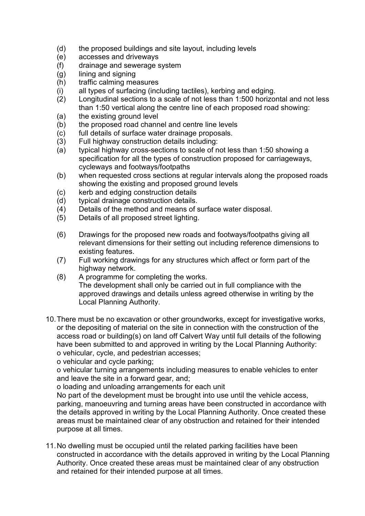- (d) the proposed buildings and site layout, including levels
- (e) accesses and driveways
- (f) drainage and sewerage system
- (g) lining and signing
- (h) traffic calming measures
- (i) all types of surfacing (including tactiles), kerbing and edging.
- (2) Longitudinal sections to a scale of not less than 1:500 horizontal and not less than 1:50 vertical along the centre line of each proposed road showing:
- (a) the existing ground level
- (b) the proposed road channel and centre line levels
- (c) full details of surface water drainage proposals.
- (3) Full highway construction details including:
- (a) typical highway cross-sections to scale of not less than 1:50 showing a specification for all the types of construction proposed for carriageways, cycleways and footways/footpaths
- (b) when requested cross sections at regular intervals along the proposed roads showing the existing and proposed ground levels
- (c) kerb and edging construction details
- (d) typical drainage construction details.
- (4) Details of the method and means of surface water disposal.
- (5) Details of all proposed street lighting.
- (6) Drawings for the proposed new roads and footways/footpaths giving all relevant dimensions for their setting out including reference dimensions to existing features.
- (7) Full working drawings for any structures which affect or form part of the highway network.
- (8) A programme for completing the works. The development shall only be carried out in full compliance with the approved drawings and details unless agreed otherwise in writing by the Local Planning Authority.
- 10.There must be no excavation or other groundworks, except for investigative works, or the depositing of material on the site in connection with the construction of the access road or building(s) on land off Calvert Way until full details of the following have been submitted to and approved in writing by the Local Planning Authority: o vehicular, cycle, and pedestrian accesses;

o vehicular and cycle parking;

o vehicular turning arrangements including measures to enable vehicles to enter and leave the site in a forward gear, and;

o loading and unloading arrangements for each unit

No part of the development must be brought into use until the vehicle access, parking, manoeuvring and turning areas have been constructed in accordance with the details approved in writing by the Local Planning Authority. Once created these areas must be maintained clear of any obstruction and retained for their intended purpose at all times.

11.No dwelling must be occupied until the related parking facilities have been constructed in accordance with the details approved in writing by the Local Planning Authority. Once created these areas must be maintained clear of any obstruction and retained for their intended purpose at all times.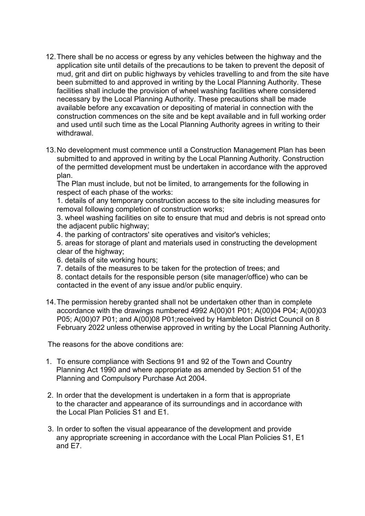- 12.There shall be no access or egress by any vehicles between the highway and the application site until details of the precautions to be taken to prevent the deposit of mud, grit and dirt on public highways by vehicles travelling to and from the site have been submitted to and approved in writing by the Local Planning Authority. These facilities shall include the provision of wheel washing facilities where considered necessary by the Local Planning Authority. These precautions shall be made available before any excavation or depositing of material in connection with the construction commences on the site and be kept available and in full working order and used until such time as the Local Planning Authority agrees in writing to their withdrawal.
- 13.No development must commence until a Construction Management Plan has been submitted to and approved in writing by the Local Planning Authority. Construction of the permitted development must be undertaken in accordance with the approved plan.

The Plan must include, but not be limited, to arrangements for the following in respect of each phase of the works:

1. details of any temporary construction access to the site including measures for removal following completion of construction works;

3. wheel washing facilities on site to ensure that mud and debris is not spread onto the adjacent public highway;

4. the parking of contractors' site operatives and visitor's vehicles;

5. areas for storage of plant and materials used in constructing the development clear of the highway;

- 6. details of site working hours;
- 7. details of the measures to be taken for the protection of trees; and
- 8. contact details for the responsible person (site manager/office) who can be contacted in the event of any issue and/or public enquiry.
- 14.The permission hereby granted shall not be undertaken other than in complete accordance with the drawings numbered 4992 A(00)01 P01; A(00)04 P04; A(00)03 P05; A(00)07 P01; and A(00)08 P01;received by Hambleton District Council on 8 February 2022 unless otherwise approved in writing by the Local Planning Authority.

The reasons for the above conditions are:

- 1. To ensure compliance with Sections 91 and 92 of the Town and Country Planning Act 1990 and where appropriate as amended by Section 51 of the Planning and Compulsory Purchase Act 2004.
- 2. In order that the development is undertaken in a form that is appropriate to the character and appearance of its surroundings and in accordance with the Local Plan Policies S1 and E1.
- 3. In order to soften the visual appearance of the development and provide any appropriate screening in accordance with the Local Plan Policies S1, E1 and E7.